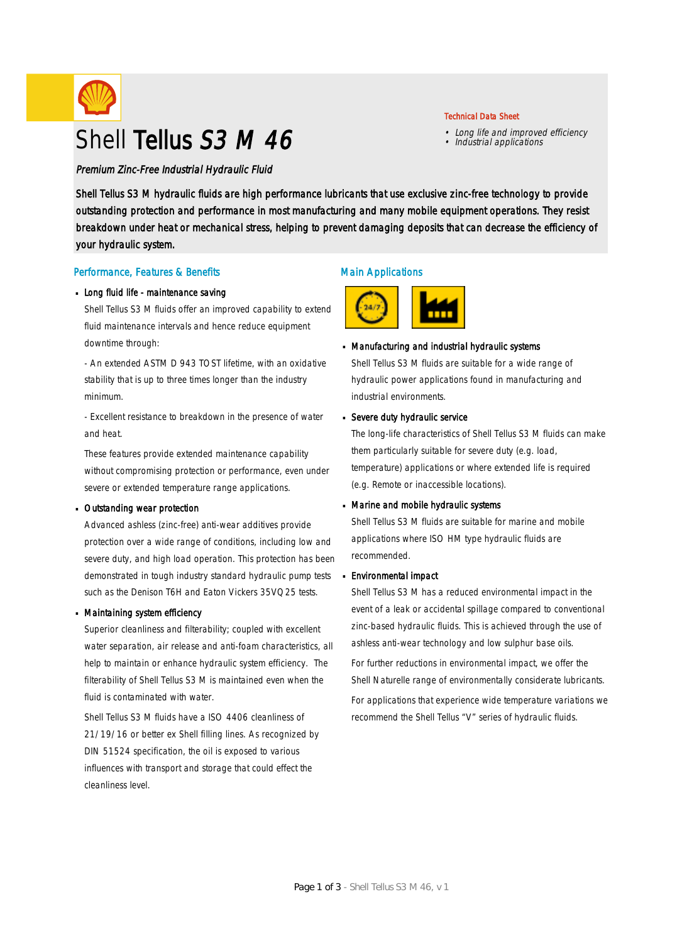

# Shell Tellus S3 M 46

Premium Zinc-Free Industrial Hydraulic Fluid

Shell Tellus S3 M hydraulic fluids are high performance lubricants that use exclusive zinc-free technology to provide outstanding protection and performance in most manufacturing and many mobile equipment operations. They resist breakdown under heat or mechanical stress, helping to prevent damaging deposits that can decrease the efficiency of your hydraulic system.

#### Performance, Features & Benefits

#### Long fluid life - maintenance saving

Shell Tellus S3 M fluids offer an improved capability to extend fluid maintenance intervals and hence reduce equipment downtime through:

- An extended ASTM D 943 TOST lifetime, with an oxidative stability that is up to three times longer than the industry minimum.

- Excellent resistance to breakdown in the presence of water and heat.

These features provide extended maintenance capability without compromising protection or performance, even under severe or extended temperature range applications.

#### Outstanding wear protection ·

Advanced ashless (zinc-free) anti-wear additives provide protection over a wide range of conditions, including low and severe duty, and high load operation. This protection has been demonstrated in tough industry standard hydraulic pump tests such as the Denison T6H and Eaton Vickers 35VQ25 tests.

#### Maintaining system efficiency ·

Superior cleanliness and filterability; coupled with excellent water separation, air release and anti-foam characteristics, all help to maintain or enhance hydraulic system efficiency. The filterability of Shell Tellus S3 M is maintained even when the fluid is contaminated with water.

Shell Tellus S3 M fluids have a ISO 4406 cleanliness of 21/19/16 or better ex Shell filling lines. As recognized by DIN 51524 specification, the oil is exposed to various influences with transport and storage that could effect the cleanliness level.

### Main Applications



# Manufacturing and industrial hydraulic systems ·

Shell Tellus S3 M fluids are suitable for a wide range of hydraulic power applications found in manufacturing and industrial environments.

#### Severe duty hydraulic service ·

The long-life characteristics of Shell Tellus S3 M fluids can make them particularly suitable for severe duty (e.g. load, temperature) applications or where extended life is required (e.g. Remote or inaccessible locations).

# Marine and mobile hydraulic systems ·

Shell Tellus S3 M fluids are suitable for marine and mobile applications where ISO HM type hydraulic fluids are recommended.

#### Environmental impact ·

Shell Tellus S3 M has a reduced environmental impact in the event of a leak or accidental spillage compared to conventional zinc-based hydraulic fluids. This is achieved through the use of ashless anti-wear technology and low sulphur base oils.

For further reductions in environmental impact, we offer the Shell Naturelle range of environmentally considerate lubricants. For applications that experience wide temperature variations we recommend the Shell Tellus "V" series of hydraulic fluids.

### Technical Data Sheet

- Long life and improved efficiency Industrial applications
-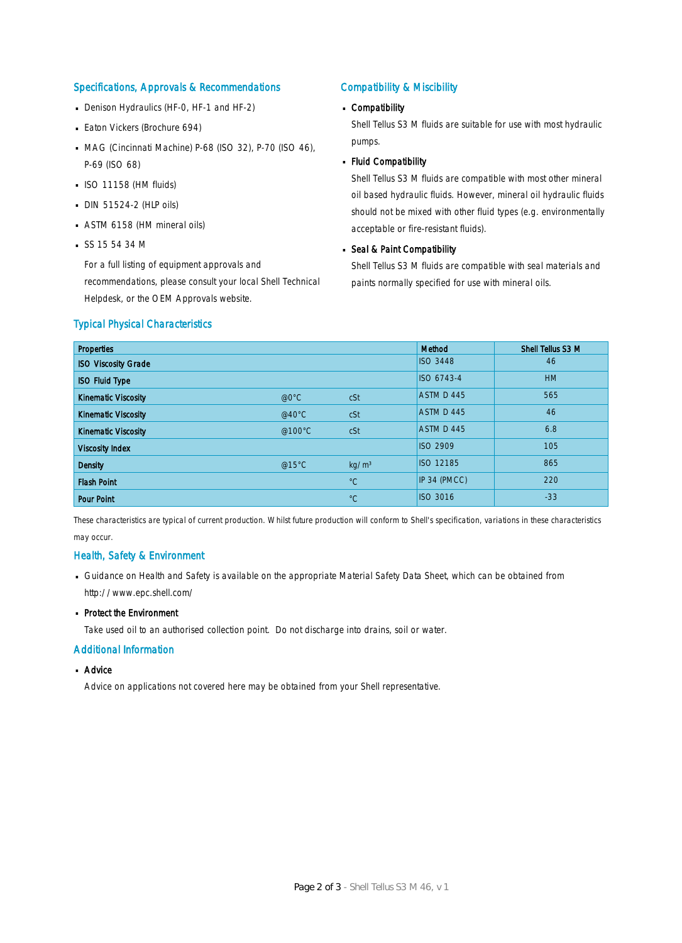#### Specifications, Approvals & Recommendations

- Denison Hydraulics (HF-0, HF-1 and HF-2)
- **Eaton Vickers (Brochure 694)**
- MAG (Cincinnati Machine) P-68 (ISO 32), P-70 (ISO 46), P-69 (ISO 68)
- $\blacksquare$  ISO 11158 (HM fluids)
- $\Box$  DIN 51524-2 (HLP oils)
- ASTM 6158 (HM mineral oils) ·
- $S$ SS 15 54 34 M

For a full listing of equipment approvals and recommendations, please consult your local Shell Technical Helpdesk, or the OEM Approvals website.

### Compatibility & Miscibility

# Compatibility ·

Shell Tellus S3 M fluids are suitable for use with most hydraulic pumps.

Fluid Compatibility ·

Shell Tellus S3 M fluids are compatible with most other mineral oil based hydraulic fluids. However, mineral oil hydraulic fluids should not be mixed with other fluid types (e.g. environmentally acceptable or fire-resistant fluids).

# Seal & Paint Compatibility

Shell Tellus S3 M fluids are compatible with seal materials and paints normally specified for use with mineral oils.

### Typical Physical Characteristics

| <b>Properties</b>          |                  |                   | Method           | Shell Tellus S3 M |
|----------------------------|------------------|-------------------|------------------|-------------------|
| <b>ISO Viscosity Grade</b> |                  |                   | <b>ISO 3448</b>  | 46                |
| <b>ISO Fluid Type</b>      |                  |                   | ISO 6743-4       | <b>HM</b>         |
| <b>Kinematic Viscosity</b> | @0°C             | cSt               | ASTM D 445       | 565               |
| <b>Kinematic Viscosity</b> | @40 $^{\circ}$ C | cSt               | ASTM D 445       | 46                |
| <b>Kinematic Viscosity</b> | @100°C           | cSt               | ASTM D 445       | 6.8               |
| <b>Viscosity Index</b>     |                  |                   | <b>ISO 2909</b>  | 105               |
| <b>Density</b>             | @15°C            | kg/m <sup>3</sup> | <b>ISO 12185</b> | 865               |
| <b>Flash Point</b>         |                  | $^{\circ}C$       | IP 34 (PMCC)     | 220               |
| <b>Pour Point</b>          |                  | $^{\circ}C$       | <b>ISO 3016</b>  | $-33$             |

These characteristics are typical of current production. Whilst future production will conform to Shell's specification, variations in these characteristics may occur.

### Health, Safety & Environment

■ Guidance on Health and Safety is available on the appropriate Material Safety Data Sheet, which can be obtained from http://www.epc.shell.com/

# • Protect the Environment

Take used oil to an authorised collection point. Do not discharge into drains, soil or water.

### Additional Information

# ■ Advice

Advice on applications not covered here may be obtained from your Shell representative.